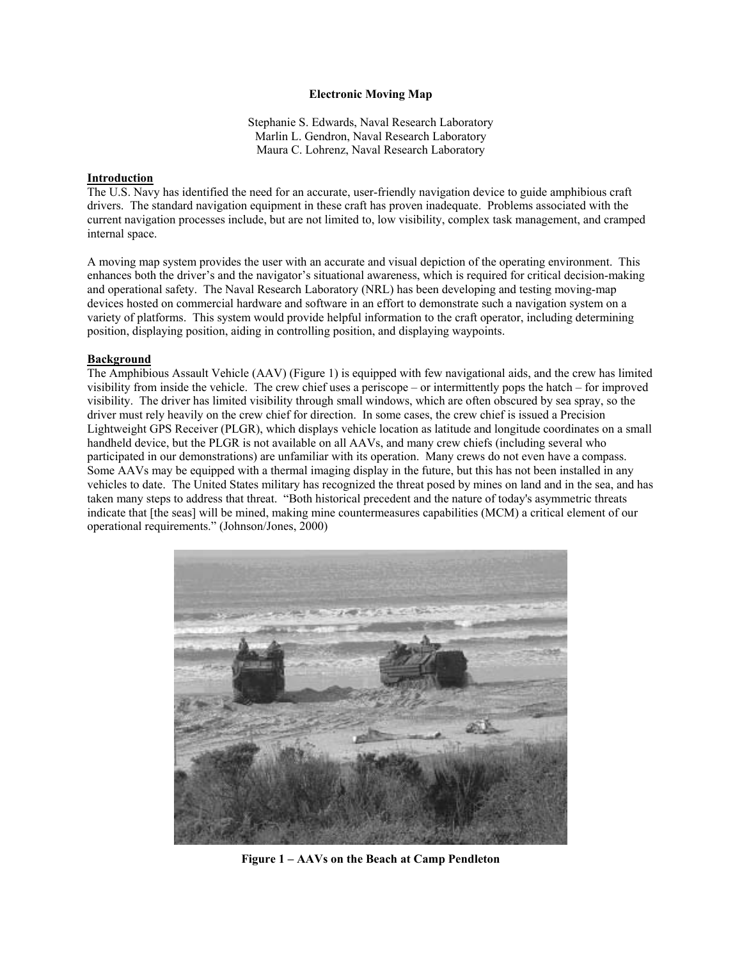### **Electronic Moving Map**

Stephanie S. Edwards, Naval Research Laboratory Marlin L. Gendron, Naval Research Laboratory Maura C. Lohrenz, Naval Research Laboratory

#### **Introduction**

The U.S. Navy has identified the need for an accurate, user-friendly navigation device to guide amphibious craft drivers. The standard navigation equipment in these craft has proven inadequate. Problems associated with the current navigation processes include, but are not limited to, low visibility, complex task management, and cramped internal space.

A moving map system provides the user with an accurate and visual depiction of the operating environment. This enhances both the driver's and the navigator's situational awareness, which is required for critical decision-making and operational safety. The Naval Research Laboratory (NRL) has been developing and testing moving-map devices hosted on commercial hardware and software in an effort to demonstrate such a navigation system on a variety of platforms. This system would provide helpful information to the craft operator, including determining position, displaying position, aiding in controlling position, and displaying waypoints.

#### **Background**

The Amphibious Assault Vehicle (AAV) (Figure 1) is equipped with few navigational aids, and the crew has limited visibility from inside the vehicle. The crew chief uses a periscope – or intermittently pops the hatch – for improved visibility. The driver has limited visibility through small windows, which are often obscured by sea spray, so the driver must rely heavily on the crew chief for direction. In some cases, the crew chief is issued a Precision Lightweight GPS Receiver (PLGR), which displays vehicle location as latitude and longitude coordinates on a small handheld device, but the PLGR is not available on all AAVs, and many crew chiefs (including several who participated in our demonstrations) are unfamiliar with its operation. Many crews do not even have a compass. Some AAVs may be equipped with a thermal imaging display in the future, but this has not been installed in any vehicles to date. The United States military has recognized the threat posed by mines on land and in the sea, and has taken many steps to address that threat. "Both historical precedent and the nature of today's asymmetric threats indicate that [the seas] will be mined, making mine countermeasures capabilities (MCM) a critical element of our operational requirements." (Johnson/Jones, 2000)



**Figure 1 – AAVs on the Beach at Camp Pendleton**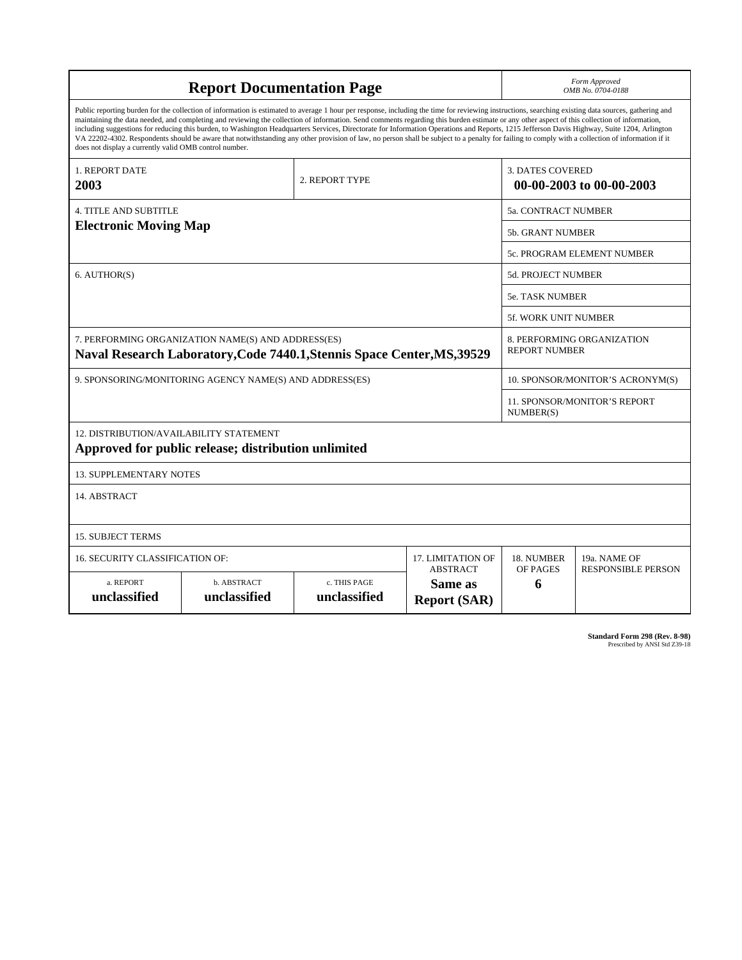| <b>Report Documentation Page</b>                                                                                                                                                                                                                                                                                                                                                                                                                                                                                                                                                                                                                                                                                                                                                                                                                                   |                                      |                              |                                           |                                                     | Form Approved<br>OMB No. 0704-0188        |  |
|--------------------------------------------------------------------------------------------------------------------------------------------------------------------------------------------------------------------------------------------------------------------------------------------------------------------------------------------------------------------------------------------------------------------------------------------------------------------------------------------------------------------------------------------------------------------------------------------------------------------------------------------------------------------------------------------------------------------------------------------------------------------------------------------------------------------------------------------------------------------|--------------------------------------|------------------------------|-------------------------------------------|-----------------------------------------------------|-------------------------------------------|--|
| Public reporting burden for the collection of information is estimated to average 1 hour per response, including the time for reviewing instructions, searching existing data sources, gathering and<br>maintaining the data needed, and completing and reviewing the collection of information. Send comments regarding this burden estimate or any other aspect of this collection of information,<br>including suggestions for reducing this burden, to Washington Headquarters Services, Directorate for Information Operations and Reports, 1215 Jefferson Davis Highway, Suite 1204, Arlington<br>VA 22202-4302. Respondents should be aware that notwithstanding any other provision of law, no person shall be subject to a penalty for failing to comply with a collection of information if it<br>does not display a currently valid OMB control number. |                                      |                              |                                           |                                                     |                                           |  |
| 1. REPORT DATE<br>2003                                                                                                                                                                                                                                                                                                                                                                                                                                                                                                                                                                                                                                                                                                                                                                                                                                             | 2. REPORT TYPE                       |                              |                                           | <b>3. DATES COVERED</b><br>00-00-2003 to 00-00-2003 |                                           |  |
| <b>4. TITLE AND SUBTITLE</b>                                                                                                                                                                                                                                                                                                                                                                                                                                                                                                                                                                                                                                                                                                                                                                                                                                       |                                      |                              |                                           | 5a. CONTRACT NUMBER                                 |                                           |  |
| <b>Electronic Moving Map</b>                                                                                                                                                                                                                                                                                                                                                                                                                                                                                                                                                                                                                                                                                                                                                                                                                                       |                                      |                              |                                           |                                                     | 5b. GRANT NUMBER                          |  |
|                                                                                                                                                                                                                                                                                                                                                                                                                                                                                                                                                                                                                                                                                                                                                                                                                                                                    |                                      |                              |                                           | <b>5c. PROGRAM ELEMENT NUMBER</b>                   |                                           |  |
| 6. AUTHOR(S)                                                                                                                                                                                                                                                                                                                                                                                                                                                                                                                                                                                                                                                                                                                                                                                                                                                       |                                      |                              |                                           | <b>5d. PROJECT NUMBER</b>                           |                                           |  |
|                                                                                                                                                                                                                                                                                                                                                                                                                                                                                                                                                                                                                                                                                                                                                                                                                                                                    |                                      |                              |                                           |                                                     | 5e. TASK NUMBER                           |  |
|                                                                                                                                                                                                                                                                                                                                                                                                                                                                                                                                                                                                                                                                                                                                                                                                                                                                    |                                      |                              |                                           |                                                     | <b>5f. WORK UNIT NUMBER</b>               |  |
| 7. PERFORMING ORGANIZATION NAME(S) AND ADDRESS(ES)<br>Naval Research Laboratory, Code 7440.1, Stennis Space Center, MS, 39529                                                                                                                                                                                                                                                                                                                                                                                                                                                                                                                                                                                                                                                                                                                                      |                                      |                              |                                           | 8. PERFORMING ORGANIZATION<br><b>REPORT NUMBER</b>  |                                           |  |
| 9. SPONSORING/MONITORING AGENCY NAME(S) AND ADDRESS(ES)                                                                                                                                                                                                                                                                                                                                                                                                                                                                                                                                                                                                                                                                                                                                                                                                            |                                      |                              |                                           |                                                     | 10. SPONSOR/MONITOR'S ACRONYM(S)          |  |
|                                                                                                                                                                                                                                                                                                                                                                                                                                                                                                                                                                                                                                                                                                                                                                                                                                                                    |                                      |                              |                                           |                                                     | 11. SPONSOR/MONITOR'S REPORT<br>NUMBER(S) |  |
| <b>12. DISTRIBUTION/AVAILABILITY STATEMENT</b><br>Approved for public release; distribution unlimited                                                                                                                                                                                                                                                                                                                                                                                                                                                                                                                                                                                                                                                                                                                                                              |                                      |                              |                                           |                                                     |                                           |  |
| <b>13. SUPPLEMENTARY NOTES</b>                                                                                                                                                                                                                                                                                                                                                                                                                                                                                                                                                                                                                                                                                                                                                                                                                                     |                                      |                              |                                           |                                                     |                                           |  |
| 14. ABSTRACT                                                                                                                                                                                                                                                                                                                                                                                                                                                                                                                                                                                                                                                                                                                                                                                                                                                       |                                      |                              |                                           |                                                     |                                           |  |
| <b>15. SUBJECT TERMS</b>                                                                                                                                                                                                                                                                                                                                                                                                                                                                                                                                                                                                                                                                                                                                                                                                                                           |                                      |                              |                                           |                                                     |                                           |  |
| <b>16. SECURITY CLASSIFICATION OF:</b>                                                                                                                                                                                                                                                                                                                                                                                                                                                                                                                                                                                                                                                                                                                                                                                                                             | 17. LIMITATION OF<br><b>ABSTRACT</b> | 18. NUMBER<br>OF PAGES       | 19a. NAME OF<br><b>RESPONSIBLE PERSON</b> |                                                     |                                           |  |
| a. REPORT<br>unclassified                                                                                                                                                                                                                                                                                                                                                                                                                                                                                                                                                                                                                                                                                                                                                                                                                                          | b. ABSTRACT<br>unclassified          | c. THIS PAGE<br>unclassified | Same as<br><b>Report (SAR)</b>            | 6                                                   |                                           |  |

**Standard Form 298 (Rev. 8-98)**<br>Prescribed by ANSI Std Z39-18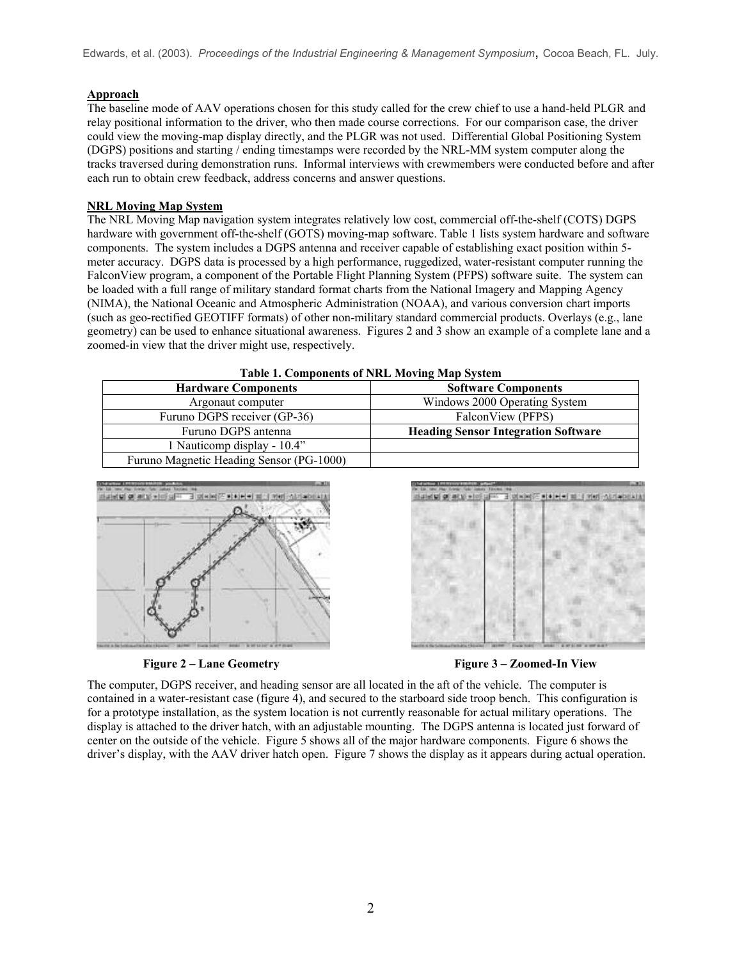Edwards, et al. (2003). *Proceedings of the Industrial Engineering & Management Symposium*, Cocoa Beach, FL. July.

# **Approach**

The baseline mode of AAV operations chosen for this study called for the crew chief to use a hand-held PLGR and relay positional information to the driver, who then made course corrections. For our comparison case, the driver could view the moving-map display directly, and the PLGR was not used. Differential Global Positioning System (DGPS) positions and starting / ending timestamps were recorded by the NRL-MM system computer along the tracks traversed during demonstration runs. Informal interviews with crewmembers were conducted before and after each run to obtain crew feedback, address concerns and answer questions.

### **NRL Moving Map System**

The NRL Moving Map navigation system integrates relatively low cost, commercial off-the-shelf (COTS) DGPS hardware with government off-the-shelf (GOTS) moving-map software. Table 1 lists system hardware and software components. The system includes a DGPS antenna and receiver capable of establishing exact position within 5 meter accuracy. DGPS data is processed by a high performance, ruggedized, water-resistant computer running the FalconView program, a component of the Portable Flight Planning System (PFPS) software suite. The system can be loaded with a full range of military standard format charts from the National Imagery and Mapping Agency (NIMA), the National Oceanic and Atmospheric Administration (NOAA), and various conversion chart imports (such as geo-rectified GEOTIFF formats) of other non-military standard commercial products. Overlays (e.g., lane geometry) can be used to enhance situational awareness. Figures 2 and 3 show an example of a complete lane and a zoomed-in view that the driver might use, respectively.

| <b>Table 1. Components of NRL Moving Map System</b> |                                            |  |  |  |
|-----------------------------------------------------|--------------------------------------------|--|--|--|
| <b>Hardware Components</b>                          | <b>Software Components</b>                 |  |  |  |
| Argonaut computer                                   | Windows 2000 Operating System              |  |  |  |
| Furuno DGPS receiver (GP-36)                        | FalconView (PFPS)                          |  |  |  |
| Furuno DGPS antenna                                 | <b>Heading Sensor Integration Software</b> |  |  |  |
| 1 Nauticomp display - 10.4"                         |                                            |  |  |  |
| Furuno Magnetic Heading Sensor (PG-1000)            |                                            |  |  |  |







The computer, DGPS receiver, and heading sensor are all located in the aft of the vehicle. The computer is contained in a water-resistant case (figure 4), and secured to the starboard side troop bench. This configuration is for a prototype installation, as the system location is not currently reasonable for actual military operations. The display is attached to the driver hatch, with an adjustable mounting. The DGPS antenna is located just forward of center on the outside of the vehicle. Figure 5 shows all of the major hardware components. Figure 6 shows the driver's display, with the AAV driver hatch open. Figure 7 shows the display as it appears during actual operation.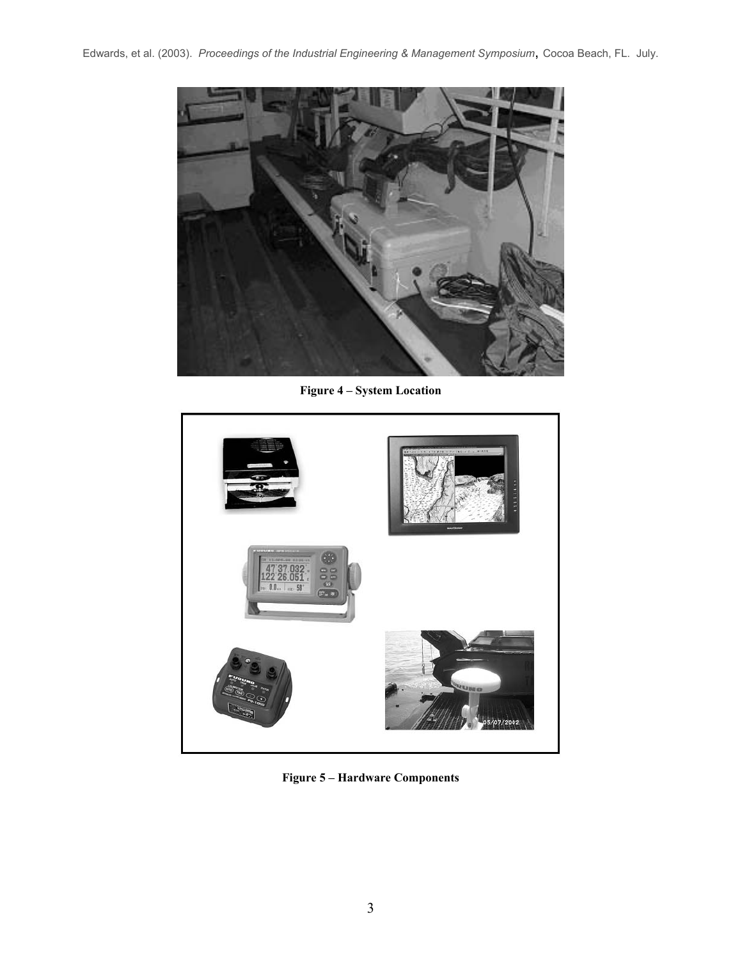

**Figure 4 – System Location** 



**Figure 5 – Hardware Components**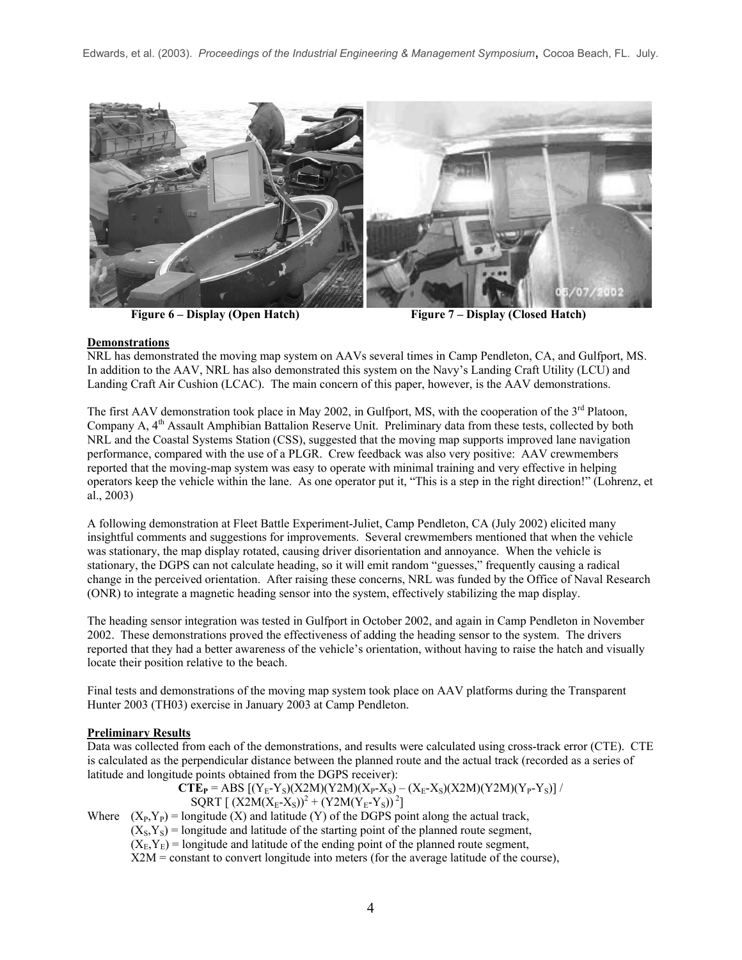

Figure 6 – Display (Open Hatch) **Figure 7 – Display (Closed Hatch)** 

### **Demonstrations**

NRL has demonstrated the moving map system on AAVs several times in Camp Pendleton, CA, and Gulfport, MS. In addition to the AAV, NRL has also demonstrated this system on the Navy's Landing Craft Utility (LCU) and Landing Craft Air Cushion (LCAC). The main concern of this paper, however, is the AAV demonstrations.

The first AAV demonstration took place in May 2002, in Gulfport, MS, with the cooperation of the  $3<sup>rd</sup>$  Platoon, Company A, 4<sup>th</sup> Assault Amphibian Battalion Reserve Unit. Preliminary data from these tests, collected by both NRL and the Coastal Systems Station (CSS), suggested that the moving map supports improved lane navigation performance, compared with the use of a PLGR. Crew feedback was also very positive: AAV crewmembers reported that the moving-map system was easy to operate with minimal training and very effective in helping operators keep the vehicle within the lane. As one operator put it, "This is a step in the right direction!" (Lohrenz, et al., 2003)

A following demonstration at Fleet Battle Experiment-Juliet, Camp Pendleton, CA (July 2002) elicited many insightful comments and suggestions for improvements. Several crewmembers mentioned that when the vehicle was stationary, the map display rotated, causing driver disorientation and annoyance. When the vehicle is stationary, the DGPS can not calculate heading, so it will emit random "guesses," frequently causing a radical change in the perceived orientation. After raising these concerns, NRL was funded by the Office of Naval Research (ONR) to integrate a magnetic heading sensor into the system, effectively stabilizing the map display.

The heading sensor integration was tested in Gulfport in October 2002, and again in Camp Pendleton in November 2002. These demonstrations proved the effectiveness of adding the heading sensor to the system. The drivers reported that they had a better awareness of the vehicle's orientation, without having to raise the hatch and visually locate their position relative to the beach.

Final tests and demonstrations of the moving map system took place on AAV platforms during the Transparent Hunter 2003 (TH03) exercise in January 2003 at Camp Pendleton.

# **Preliminary Results**

Data was collected from each of the demonstrations, and results were calculated using cross-track error (CTE). CTE is calculated as the perpendicular distance between the planned route and the actual track (recorded as a series of latitude and longitude points obtained from the DGPS receiver):

 $CTE_{P} = ABS [(Y_{E}-Y_{S})(X2M)(Y2M)(X_{P}-X_{S}) - (X_{E}-X_{S})(X2M)(Y2M)(Y_{P}-Y_{S})]/$  $SQRT$  [  $(X2M(X_E-X_S))^2 + (Y2M(Y_E-Y_S))^2$ ]

Where  $(X_P, Y_P) =$ longitude  $(X)$  and latitude  $(Y)$  of the DGPS point along the actual track,  $(X<sub>S</sub>, Y<sub>S</sub>)$  = longitude and latitude of the starting point of the planned route segment,  $(X<sub>E</sub>, Y<sub>E</sub>)$  = longitude and latitude of the ending point of the planned route segment, X2M = constant to convert longitude into meters (for the average latitude of the course),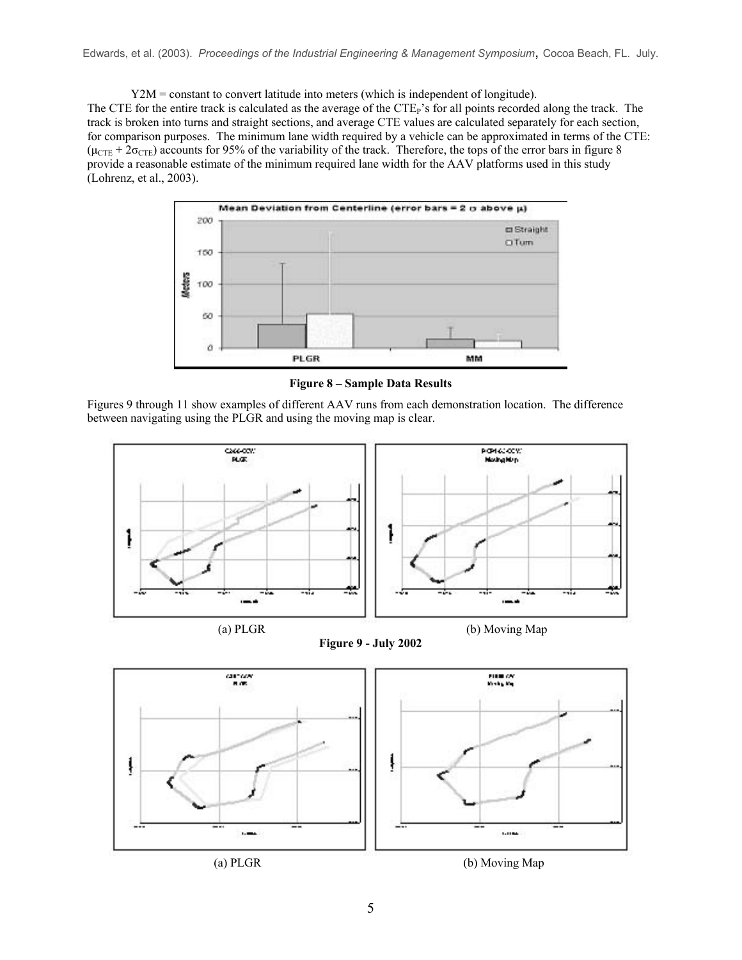Y2M = constant to convert latitude into meters (which is independent of longitude). The CTE for the entire track is calculated as the average of the CTE<sub>P</sub>'s for all points recorded along the track. The track is broken into turns and straight sections, and average CTE values are calculated separately for each section, for comparison purposes. The minimum lane width required by a vehicle can be approximated in terms of the CTE:  $(\mu_{\text{CTE}} + 2\sigma_{\text{CTE}})$  accounts for 95% of the variability of the track. Therefore, the tops of the error bars in figure 8 provide a reasonable estimate of the minimum required lane width for the AAV platforms used in this study (Lohrenz, et al., 2003).



**Figure 8 – Sample Data Results** 

Figures 9 through 11 show examples of different AAV runs from each demonstration location. The difference between navigating using the PLGR and using the moving map is clear.